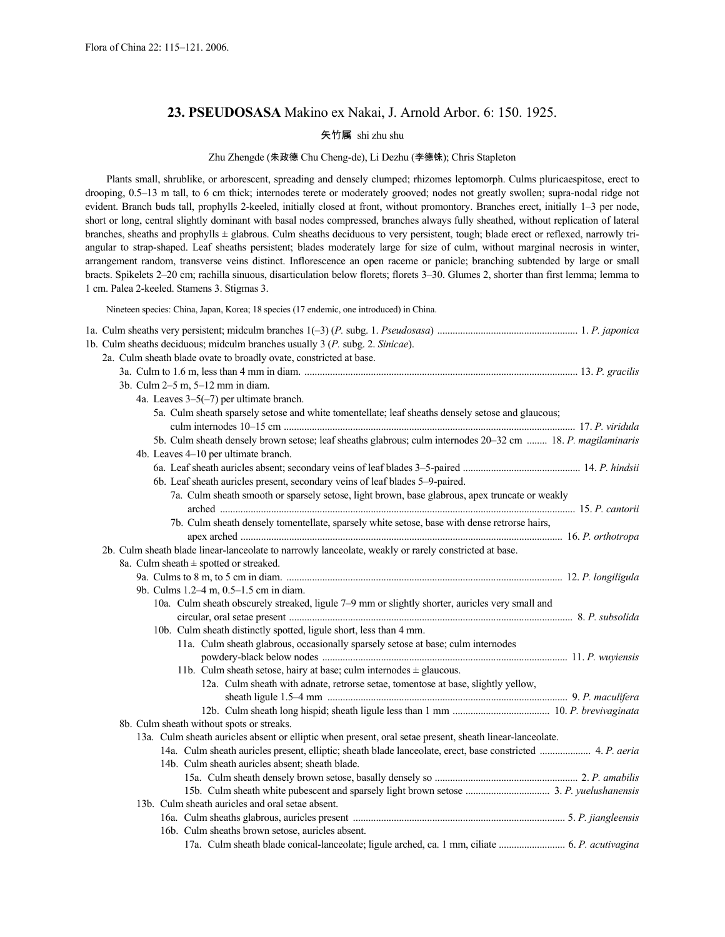# **23. PSEUDOSASA** Makino ex Nakai, J. Arnold Arbor. 6: 150. 1925.

# 矢竹属 shi zhu shu

# Zhu Zhengde (朱政德 Chu Cheng-de), Li Dezhu (李德铢); Chris Stapleton

Plants small, shrublike, or arborescent, spreading and densely clumped; rhizomes leptomorph. Culms pluricaespitose, erect to drooping, 0.5–13 m tall, to 6 cm thick; internodes terete or moderately grooved; nodes not greatly swollen; supra-nodal ridge not evident. Branch buds tall, prophylls 2-keeled, initially closed at front, without promontory. Branches erect, initially 1–3 per node, short or long, central slightly dominant with basal nodes compressed, branches always fully sheathed, without replication of lateral branches, sheaths and prophylls ± glabrous. Culm sheaths deciduous to very persistent, tough; blade erect or reflexed, narrowly triangular to strap-shaped. Leaf sheaths persistent; blades moderately large for size of culm, without marginal necrosis in winter, arrangement random, transverse veins distinct. Inflorescence an open raceme or panicle; branching subtended by large or small bracts. Spikelets 2–20 cm; rachilla sinuous, disarticulation below florets; florets 3–30. Glumes 2, shorter than first lemma; lemma to 1 cm. Palea 2-keeled. Stamens 3. Stigmas 3.

Nineteen species: China, Japan, Korea; 18 species (17 endemic, one introduced) in China.

|  | 1b. Culm sheaths deciduous; midculm branches usually 3 (P. subg. 2. Sinicae).                               |  |
|--|-------------------------------------------------------------------------------------------------------------|--|
|  | 2a. Culm sheath blade ovate to broadly ovate, constricted at base.                                          |  |
|  |                                                                                                             |  |
|  | 3b. Culm 2-5 m, 5-12 mm in diam.                                                                            |  |
|  | 4a. Leaves $3-5(-7)$ per ultimate branch.                                                                   |  |
|  | 5a. Culm sheath sparsely setose and white tomentellate; leaf sheaths densely setose and glaucous;           |  |
|  |                                                                                                             |  |
|  | 5b. Culm sheath densely brown setose; leaf sheaths glabrous; culm internodes 20–32 cm  18. P. magilaminaris |  |
|  | 4b. Leaves 4-10 per ultimate branch.                                                                        |  |
|  |                                                                                                             |  |
|  | 6b. Leaf sheath auricles present, secondary veins of leaf blades 5-9-paired.                                |  |
|  | 7a. Culm sheath smooth or sparsely setose, light brown, base glabrous, apex truncate or weakly              |  |
|  |                                                                                                             |  |
|  | 7b. Culm sheath densely tomentellate, sparsely white setose, base with dense retrorse hairs,                |  |
|  |                                                                                                             |  |
|  | 2b. Culm sheath blade linear-lanceolate to narrowly lanceolate, weakly or rarely constricted at base.       |  |
|  | 8a. Culm sheath $\pm$ spotted or streaked.                                                                  |  |
|  |                                                                                                             |  |
|  | 9b. Culms 1.2–4 m, 0.5–1.5 cm in diam.                                                                      |  |
|  | 10a. Culm sheath obscurely streaked, ligule 7–9 mm or slightly shorter, auricles very small and             |  |
|  |                                                                                                             |  |
|  | 10b. Culm sheath distinctly spotted, ligule short, less than 4 mm.                                          |  |
|  | 11a. Culm sheath glabrous, occasionally sparsely setose at base; culm internodes                            |  |
|  |                                                                                                             |  |
|  | 11b. Culm sheath setose, hairy at base; culm internodes $\pm$ glaucous.                                     |  |
|  | 12a. Culm sheath with adnate, retrorse setae, tomentose at base, slightly yellow,                           |  |
|  |                                                                                                             |  |
|  |                                                                                                             |  |
|  | 8b. Culm sheath without spots or streaks.                                                                   |  |
|  | 13a. Culm sheath auricles absent or elliptic when present, oral setae present, sheath linear-lanceolate.    |  |
|  | 14a. Culm sheath auricles present, elliptic; sheath blade lanceolate, erect, base constricted  4. P. aeria  |  |
|  | 14b. Culm sheath auricles absent; sheath blade.                                                             |  |
|  |                                                                                                             |  |
|  |                                                                                                             |  |
|  | 13b. Culm sheath auricles and oral setae absent.                                                            |  |
|  |                                                                                                             |  |
|  | 16b. Culm sheaths brown setose, auricles absent.                                                            |  |
|  |                                                                                                             |  |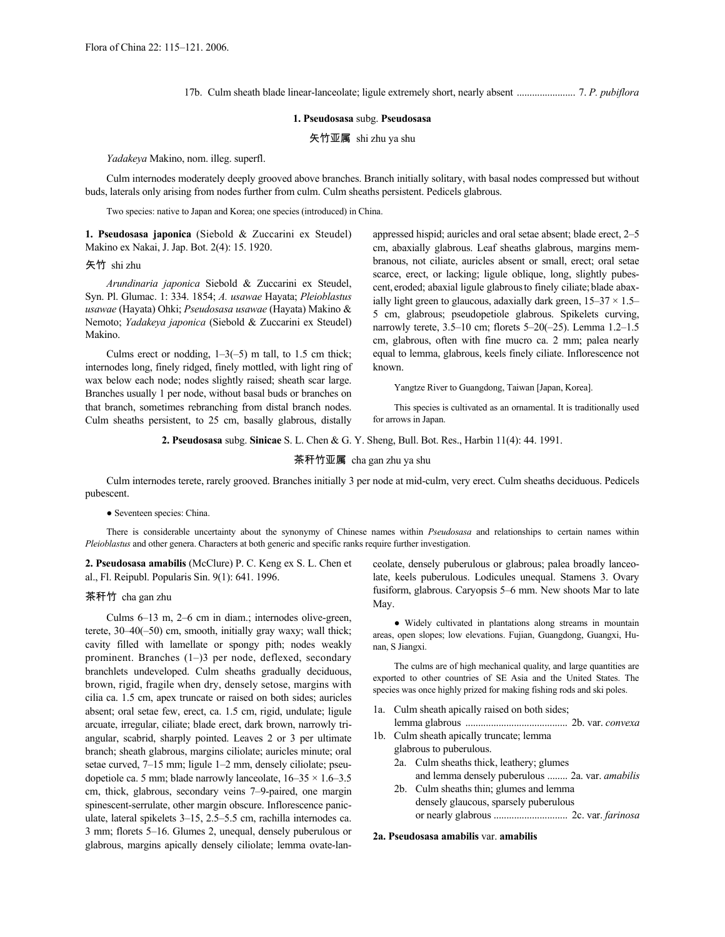17b. Culm sheath blade linear-lanceolate; ligule extremely short, nearly absent ....................... 7. *P. pubiflora*

# **1. Pseudosasa** subg. **Pseudosasa**

矢竹亚属 shi zhu ya shu

*Yadakeya* Makino, nom. illeg. superfl.

Culm internodes moderately deeply grooved above branches. Branch initially solitary, with basal nodes compressed but without buds, laterals only arising from nodes further from culm. Culm sheaths persistent. Pedicels glabrous.

Two species: native to Japan and Korea; one species (introduced) in China.

**1. Pseudosasa japonica** (Siebold & Zuccarini ex Steudel) Makino ex Nakai, J. Jap. Bot. 2(4): 15. 1920.

矢竹 shi zhu

*Arundinaria japonica* Siebold & Zuccarini ex Steudel, Syn. Pl. Glumac. 1: 334. 1854; *A. usawae* Hayata; *Pleioblastus usawae* (Hayata) Ohki; *Pseudosasa usawae* (Hayata) Makino & Nemoto; *Yadakeya japonica* (Siebold & Zuccarini ex Steudel) Makino.

Culms erect or nodding,  $1-3(-5)$  m tall, to 1.5 cm thick; internodes long, finely ridged, finely mottled, with light ring of wax below each node; nodes slightly raised; sheath scar large. Branches usually 1 per node, without basal buds or branches on that branch, sometimes rebranching from distal branch nodes. Culm sheaths persistent, to 25 cm, basally glabrous, distally appressed hispid; auricles and oral setae absent; blade erect, 2–5 cm, abaxially glabrous. Leaf sheaths glabrous, margins membranous, not ciliate, auricles absent or small, erect; oral setae scarce, erect, or lacking; ligule oblique, long, slightly pubescent, eroded; abaxial ligule glabrousto finely ciliate; blade abaxially light green to glaucous, adaxially dark green,  $15-37 \times 1.5-$ 5 cm, glabrous; pseudopetiole glabrous. Spikelets curving, narrowly terete, 3.5–10 cm; florets 5–20(–25). Lemma 1.2–1.5 cm, glabrous, often with fine mucro ca. 2 mm; palea nearly equal to lemma, glabrous, keels finely ciliate. Inflorescence not known.

Yangtze River to Guangdong, Taiwan [Japan, Korea].

This species is cultivated as an ornamental. It is traditionally used for arrows in Japan.

**2. Pseudosasa** subg. **Sinicae** S. L. Chen & G. Y. Sheng, Bull. Bot. Res., Harbin 11(4): 44. 1991.

# 茶秆竹亚属 cha gan zhu ya shu

Culm internodes terete, rarely grooved. Branches initially 3 per node at mid-culm, very erect. Culm sheaths deciduous. Pedicels pubescent.

#### ● Seventeen species: China.

There is considerable uncertainty about the synonymy of Chinese names within *Pseudosasa* and relationships to certain names within *Pleioblastus* and other genera. Characters at both generic and specific ranks require further investigation.

**2. Pseudosasa amabilis** (McClure) P. C. Keng ex S. L. Chen et al., Fl. Reipubl. Popularis Sin. 9(1): 641. 1996.

#### 茶秆竹 cha gan zhu

Culms 6–13 m, 2–6 cm in diam.; internodes olive-green, terete, 30–40(–50) cm, smooth, initially gray waxy; wall thick; cavity filled with lamellate or spongy pith; nodes weakly prominent. Branches (1–)3 per node, deflexed, secondary branchlets undeveloped. Culm sheaths gradually deciduous, brown, rigid, fragile when dry, densely setose, margins with cilia ca. 1.5 cm, apex truncate or raised on both sides; auricles absent; oral setae few, erect, ca. 1.5 cm, rigid, undulate; ligule arcuate, irregular, ciliate; blade erect, dark brown, narrowly triangular, scabrid, sharply pointed. Leaves 2 or 3 per ultimate branch; sheath glabrous, margins ciliolate; auricles minute; oral setae curved, 7–15 mm; ligule 1–2 mm, densely ciliolate; pseudopetiole ca. 5 mm; blade narrowly lanceolate,  $16-35 \times 1.6-3.5$ cm, thick, glabrous, secondary veins 7–9-paired, one margin spinescent-serrulate, other margin obscure. Inflorescence paniculate, lateral spikelets 3–15, 2.5–5.5 cm, rachilla internodes ca. 3 mm; florets 5–16. Glumes 2, unequal, densely puberulous or glabrous, margins apically densely ciliolate; lemma ovate-lanceolate, densely puberulous or glabrous; palea broadly lanceolate, keels puberulous. Lodicules unequal. Stamens 3. Ovary fusiform, glabrous. Caryopsis 5–6 mm. New shoots Mar to late May.

● Widely cultivated in plantations along streams in mountain areas, open slopes; low elevations. Fujian, Guangdong, Guangxi, Hunan, S Jiangxi.

The culms are of high mechanical quality, and large quantities are exported to other countries of SE Asia and the United States. The species was once highly prized for making fishing rods and ski poles.

- 1a. Culm sheath apically raised on both sides;
- lemma glabrous ........................................ 2b. var. *convexa* 1b. Culm sheath apically truncate; lemma
	- glabrous to puberulous. 2a. Culm sheaths thick, leathery; glumes and lemma densely puberulous ........ 2a. var. *amabilis*
	- 2b. Culm sheaths thin; glumes and lemma densely glaucous, sparsely puberulous or nearly glabrous ............................. 2c. var. *farinosa*

## **2a. Pseudosasa amabilis** var. **amabilis**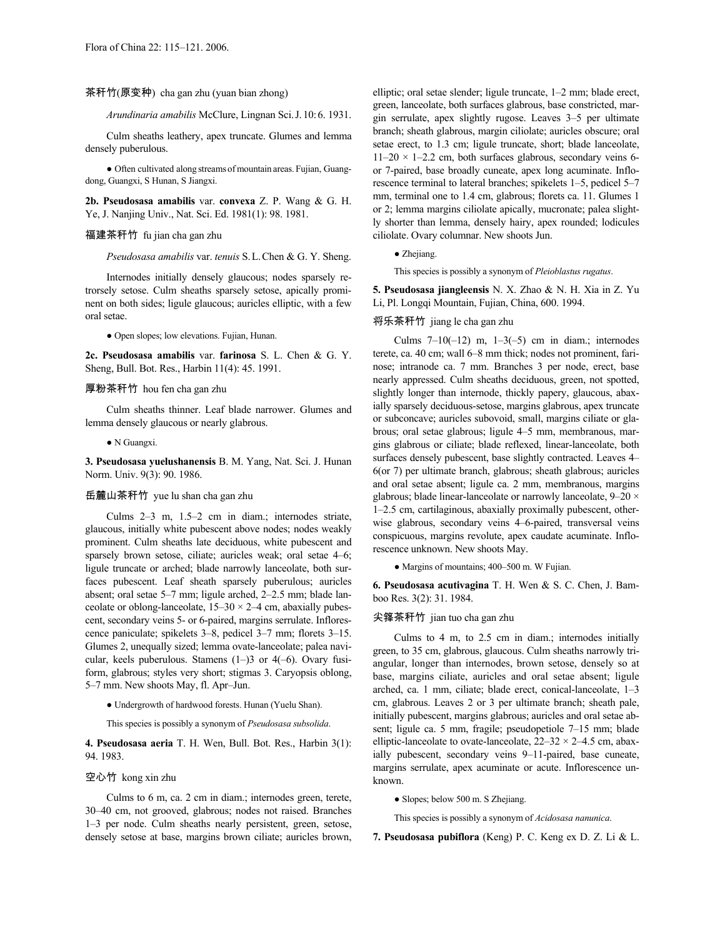## 茶秆竹(原变种) cha gan zhu (yuan bian zhong)

*Arundinaria amabilis* McClure, Lingnan Sci.J.10:6. 1931.

Culm sheaths leathery, apex truncate. Glumes and lemma densely puberulous.

● Often cultivated along streams of mountain areas. Fujian, Guangdong, Guangxi, S Hunan, S Jiangxi.

**2b. Pseudosasa amabilis** var. **convexa** Z. P. Wang & G. H. Ye, J. Nanjing Univ., Nat. Sci. Ed. 1981(1): 98. 1981.

# 福建茶秆竹 fu jian cha gan zhu

*Pseudosasa amabilis* var. *tenuis* S.L.Chen & G. Y. Sheng.

Internodes initially densely glaucous; nodes sparsely retrorsely setose. Culm sheaths sparsely setose, apically prominent on both sides; ligule glaucous; auricles elliptic, with a few oral setae.

● Open slopes; low elevations. Fujian, Hunan.

**2c. Pseudosasa amabilis** var. **farinosa** S. L. Chen & G. Y. Sheng, Bull. Bot. Res., Harbin 11(4): 45. 1991.

# 厚粉茶秆竹 hou fen cha gan zhu

Culm sheaths thinner. Leaf blade narrower. Glumes and lemma densely glaucous or nearly glabrous.

● N Guangxi.

**3. Pseudosasa yuelushanensis** B. M. Yang, Nat. Sci. J. Hunan Norm. Univ. 9(3): 90. 1986.

#### 岳麓山茶秆竹 yue lu shan cha gan zhu

Culms 2–3 m, 1.5–2 cm in diam.; internodes striate, glaucous, initially white pubescent above nodes; nodes weakly prominent. Culm sheaths late deciduous, white pubescent and sparsely brown setose, ciliate; auricles weak; oral setae 4–6; ligule truncate or arched; blade narrowly lanceolate, both surfaces pubescent. Leaf sheath sparsely puberulous; auricles absent; oral setae 5–7 mm; ligule arched, 2–2.5 mm; blade lanceolate or oblong-lanceolate,  $15-30 \times 2-4$  cm, abaxially pubescent, secondary veins 5- or 6-paired, margins serrulate. Inflorescence paniculate; spikelets 3–8, pedicel 3–7 mm; florets 3–15. Glumes 2, unequally sized; lemma ovate-lanceolate; palea navicular, keels puberulous. Stamens (1–)3 or 4(–6). Ovary fusiform, glabrous; styles very short; stigmas 3. Caryopsis oblong, 5–7 mm. New shoots May, fl. Apr–Jun.

● Undergrowth of hardwood forests. Hunan (Yuelu Shan).

This species is possibly a synonym of *Pseudosasa subsolida*.

**4. Pseudosasa aeria** T. H. Wen, Bull. Bot. Res., Harbin 3(1): 94. 1983.

#### 空心竹 kong xin zhu

Culms to 6 m, ca. 2 cm in diam.; internodes green, terete, 30–40 cm, not grooved, glabrous; nodes not raised. Branches 1–3 per node. Culm sheaths nearly persistent, green, setose, densely setose at base, margins brown ciliate; auricles brown, elliptic; oral setae slender; ligule truncate, 1–2 mm; blade erect, green, lanceolate, both surfaces glabrous, base constricted, margin serrulate, apex slightly rugose. Leaves 3–5 per ultimate branch; sheath glabrous, margin ciliolate; auricles obscure; oral setae erect, to 1.3 cm; ligule truncate, short; blade lanceolate,  $11-20 \times 1-2.2$  cm, both surfaces glabrous, secondary veins 6or 7-paired, base broadly cuneate, apex long acuminate. Inflorescence terminal to lateral branches; spikelets 1–5, pedicel 5–7 mm, terminal one to 1.4 cm, glabrous; florets ca. 11. Glumes 1 or 2; lemma margins ciliolate apically, mucronate; palea slightly shorter than lemma, densely hairy, apex rounded; lodicules ciliolate. Ovary columnar. New shoots Jun.

# ● Zhejiang.

This species is possibly a synonym of *Pleioblastus rugatus*.

**5. Pseudosasa jiangleensis** N. X. Zhao & N. H. Xia in Z. Yu Li, Pl. Longqi Mountain, Fujian, China, 600. 1994.

# 将乐茶秆竹 jiang le cha gan zhu

Culms  $7-10(-12)$  m,  $1-3(-5)$  cm in diam.; internodes terete, ca. 40 cm; wall 6–8 mm thick; nodes not prominent, farinose; intranode ca. 7 mm. Branches 3 per node, erect, base nearly appressed. Culm sheaths deciduous, green, not spotted, slightly longer than internode, thickly papery, glaucous, abaxially sparsely deciduous-setose, margins glabrous, apex truncate or subconcave; auricles subovoid, small, margins ciliate or glabrous; oral setae glabrous; ligule 4–5 mm, membranous, margins glabrous or ciliate; blade reflexed, linear-lanceolate, both surfaces densely pubescent, base slightly contracted. Leaves 4– 6(or 7) per ultimate branch, glabrous; sheath glabrous; auricles and oral setae absent; ligule ca. 2 mm, membranous, margins glabrous; blade linear-lanceolate or narrowly lanceolate, 9–20 × 1–2.5 cm, cartilaginous, abaxially proximally pubescent, otherwise glabrous, secondary veins 4–6-paired, transversal veins conspicuous, margins revolute, apex caudate acuminate. Inflorescence unknown. New shoots May.

● Margins of mountains; 400–500 m. W Fujian.

**6. Pseudosasa acutivagina** T. H. Wen & S. C. Chen, J. Bamboo Res. 3(2): 31. 1984.

#### 尖箨茶秆竹 jian tuo cha gan zhu

Culms to 4 m, to 2.5 cm in diam.; internodes initially green, to 35 cm, glabrous, glaucous. Culm sheaths narrowly triangular, longer than internodes, brown setose, densely so at base, margins ciliate, auricles and oral setae absent; ligule arched, ca. 1 mm, ciliate; blade erect, conical-lanceolate, 1–3 cm, glabrous. Leaves 2 or 3 per ultimate branch; sheath pale, initially pubescent, margins glabrous; auricles and oral setae absent; ligule ca. 5 mm, fragile; pseudopetiole 7–15 mm; blade elliptic-lanceolate to ovate-lanceolate,  $22-32 \times 2-4.5$  cm, abaxially pubescent, secondary veins 9–11-paired, base cuneate, margins serrulate, apex acuminate or acute. Inflorescence unknown.

● Slopes; below 500 m. S Zhejiang.

This species is possibly a synonym of *Acidosasa nanunica*.

**7. Pseudosasa pubiflora** (Keng) P. C. Keng ex D. Z. Li & L.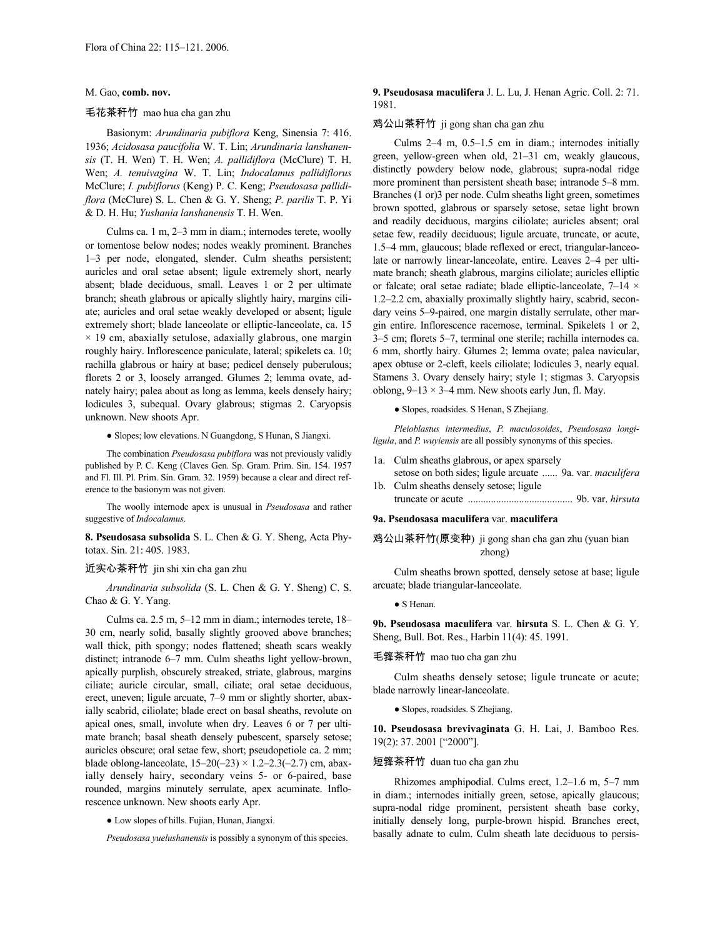#### M. Gao, **comb. nov.**

#### 毛花茶秆竹 mao hua cha gan zhu

Basionym: *Arundinaria pubiflora* Keng, Sinensia 7: 416. 1936; *Acidosasa paucifolia* W. T. Lin; *Arundinaria lanshanensis* (T. H. Wen) T. H. Wen; *A. pallidiflora* (McClure) T. H. Wen; *A. tenuivagina* W. T. Lin; *Indocalamus pallidiflorus* McClure; *I. pubiflorus* (Keng) P. C. Keng; *Pseudosasa pallidiflora* (McClure) S. L. Chen & G. Y. Sheng; *P. parilis* T. P. Yi & D. H. Hu; *Yushania lanshanensis* T. H. Wen.

Culms ca. 1 m, 2–3 mm in diam.; internodes terete, woolly or tomentose below nodes; nodes weakly prominent. Branches 1–3 per node, elongated, slender. Culm sheaths persistent; auricles and oral setae absent; ligule extremely short, nearly absent; blade deciduous, small. Leaves 1 or 2 per ultimate branch; sheath glabrous or apically slightly hairy, margins ciliate; auricles and oral setae weakly developed or absent; ligule extremely short; blade lanceolate or elliptic-lanceolate, ca. 15  $\times$  19 cm, abaxially setulose, adaxially glabrous, one margin roughly hairy. Inflorescence paniculate, lateral; spikelets ca. 10; rachilla glabrous or hairy at base; pedicel densely puberulous; florets 2 or 3, loosely arranged. Glumes 2; lemma ovate, adnately hairy; palea about as long as lemma, keels densely hairy; lodicules 3, subequal. Ovary glabrous; stigmas 2. Caryopsis unknown. New shoots Apr.

● Slopes; low elevations. N Guangdong, S Hunan, S Jiangxi.

The combination *Pseudosasa pubiflora* was not previously validly published by P. C. Keng (Claves Gen. Sp. Gram. Prim. Sin. 154. 1957 and Fl. Ill. Pl. Prim. Sin. Gram. 32. 1959) because a clear and direct reference to the basionym was not given.

The woolly internode apex is unusual in *Pseudosasa* and rather suggestive of *Indocalamus*.

**8. Pseudosasa subsolida** S. L. Chen & G. Y. Sheng, Acta Phytotax. Sin. 21: 405. 1983.

#### 近实心茶秆竹 jin shi xin cha gan zhu

*Arundinaria subsolida* (S. L. Chen & G. Y. Sheng) C. S. Chao & G. Y. Yang.

Culms ca. 2.5 m, 5–12 mm in diam.; internodes terete, 18– 30 cm, nearly solid, basally slightly grooved above branches; wall thick, pith spongy; nodes flattened; sheath scars weakly distinct; intranode 6–7 mm. Culm sheaths light yellow-brown, apically purplish, obscurely streaked, striate, glabrous, margins ciliate; auricle circular, small, ciliate; oral setae deciduous, erect, uneven; ligule arcuate, 7–9 mm or slightly shorter, abaxially scabrid, ciliolate; blade erect on basal sheaths, revolute on apical ones, small, involute when dry. Leaves 6 or 7 per ultimate branch; basal sheath densely pubescent, sparsely setose; auricles obscure; oral setae few, short; pseudopetiole ca. 2 mm; blade oblong-lanceolate,  $15-20(-23) \times 1.2-2.3(-2.7)$  cm, abaxially densely hairy, secondary veins 5- or 6-paired, base rounded, margins minutely serrulate, apex acuminate. Inflorescence unknown. New shoots early Apr.

● Low slopes of hills. Fujian, Hunan, Jiangxi.

*Pseudosasa yuelushanensis* is possibly a synonym of this species.

# **9. Pseudosasa maculifera** J. L. Lu, J. Henan Agric. Coll. 2: 71. 1981.

## 鸡公山茶秆竹 ji gong shan cha gan zhu

Culms 2–4 m, 0.5–1.5 cm in diam.; internodes initially green, yellow-green when old, 21–31 cm, weakly glaucous, distinctly powdery below node, glabrous; supra-nodal ridge more prominent than persistent sheath base; intranode 5–8 mm. Branches (1 or)3 per node. Culm sheaths light green, sometimes brown spotted, glabrous or sparsely setose, setae light brown and readily deciduous, margins ciliolate; auricles absent; oral setae few, readily deciduous; ligule arcuate, truncate, or acute, 1.5–4 mm, glaucous; blade reflexed or erect, triangular-lanceolate or narrowly linear-lanceolate, entire. Leaves 2–4 per ultimate branch; sheath glabrous, margins ciliolate; auricles elliptic or falcate; oral setae radiate; blade elliptic-lanceolate, 7–14 × 1.2–2.2 cm, abaxially proximally slightly hairy, scabrid, secondary veins 5–9-paired, one margin distally serrulate, other margin entire. Inflorescence racemose, terminal. Spikelets 1 or 2, 3–5 cm; florets 5–7, terminal one sterile; rachilla internodes ca. 6 mm, shortly hairy. Glumes 2; lemma ovate; palea navicular, apex obtuse or 2-cleft, keels ciliolate; lodicules 3, nearly equal. Stamens 3. Ovary densely hairy; style 1; stigmas 3. Caryopsis oblong,  $9-13 \times 3-4$  mm. New shoots early Jun, fl. May.

# ● Slopes, roadsides. S Henan, S Zhejiang.

*Pleioblastus intermedius*, *P. maculosoides*, *Pseudosasa longiligula*, and *P. wuyiensis* are all possibly synonyms of this species.

- 1a. Culm sheaths glabrous, or apex sparsely
- setose on both sides; ligule arcuate ...... 9a. var. *maculifera* 1b. Culm sheaths densely setose; ligule
- truncate or acute ......................................... 9b. var. *hirsuta*

# **9a. Pseudosasa maculifera** var. **maculifera**

# 鸡公山茶秆竹(原变种) ji gong shan cha gan zhu (yuan bian zhong)

Culm sheaths brown spotted, densely setose at base; ligule arcuate; blade triangular-lanceolate.

● S Henan.

**9b. Pseudosasa maculifera** var. **hirsuta** S. L. Chen & G. Y. Sheng, Bull. Bot. Res., Harbin 11(4): 45. 1991.

#### 毛箨茶秆竹 mao tuo cha gan zhu

Culm sheaths densely setose; ligule truncate or acute; blade narrowly linear-lanceolate.

● Slopes, roadsides. S Zhejiang.

**10. Pseudosasa brevivaginata** G. H. Lai, J. Bamboo Res. 19(2): 37. 2001 ["2000"].

## 短箨茶秆竹 duan tuo cha gan zhu

Rhizomes amphipodial. Culms erect, 1.2–1.6 m, 5–7 mm in diam.; internodes initially green, setose, apically glaucous; supra-nodal ridge prominent, persistent sheath base corky, initially densely long, purple-brown hispid. Branches erect, basally adnate to culm. Culm sheath late deciduous to persis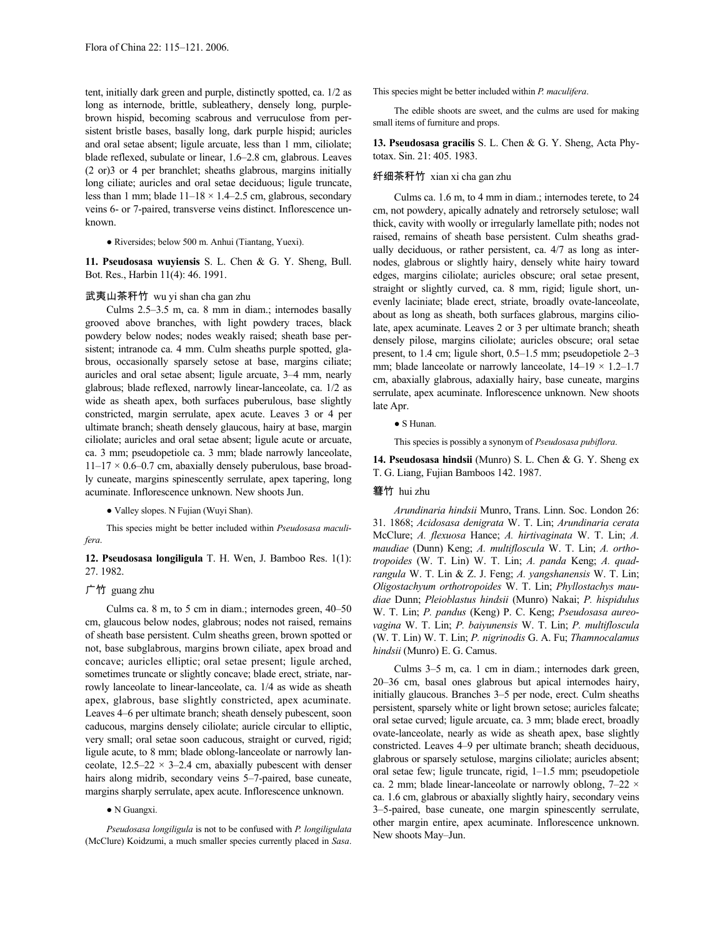tent, initially dark green and purple, distinctly spotted, ca. 1/2 as long as internode, brittle, subleathery, densely long, purplebrown hispid, becoming scabrous and verruculose from persistent bristle bases, basally long, dark purple hispid; auricles and oral setae absent; ligule arcuate, less than 1 mm, ciliolate; blade reflexed, subulate or linear, 1.6–2.8 cm, glabrous. Leaves (2 or)3 or 4 per branchlet; sheaths glabrous, margins initially long ciliate; auricles and oral setae deciduous; ligule truncate, less than 1 mm; blade  $11-18 \times 1.4-2.5$  cm, glabrous, secondary veins 6- or 7-paired, transverse veins distinct. Inflorescence unknown.

● Riversides; below 500 m. Anhui (Tiantang, Yuexi).

**11. Pseudosasa wuyiensis** S. L. Chen & G. Y. Sheng, Bull. Bot. Res., Harbin 11(4): 46. 1991.

## 武夷山茶秆竹 wu yi shan cha gan zhu

Culms 2.5–3.5 m, ca. 8 mm in diam.; internodes basally grooved above branches, with light powdery traces, black powdery below nodes; nodes weakly raised; sheath base persistent; intranode ca. 4 mm. Culm sheaths purple spotted, glabrous, occasionally sparsely setose at base, margins ciliate; auricles and oral setae absent; ligule arcuate, 3–4 mm, nearly glabrous; blade reflexed, narrowly linear-lanceolate, ca. 1/2 as wide as sheath apex, both surfaces puberulous, base slightly constricted, margin serrulate, apex acute. Leaves 3 or 4 per ultimate branch; sheath densely glaucous, hairy at base, margin ciliolate; auricles and oral setae absent; ligule acute or arcuate, ca. 3 mm; pseudopetiole ca. 3 mm; blade narrowly lanceolate,  $11-17 \times 0.6-0.7$  cm, abaxially densely puberulous, base broadly cuneate, margins spinescently serrulate, apex tapering, long acuminate. Inflorescence unknown. New shoots Jun.

● Valley slopes. N Fujian (Wuyi Shan).

This species might be better included within *Pseudosasa maculifera*.

**12. Pseudosasa longiligula** T. H. Wen, J. Bamboo Res. 1(1): 27. 1982.

#### 广竹 guang zhu

Culms ca. 8 m, to 5 cm in diam.; internodes green, 40–50 cm, glaucous below nodes, glabrous; nodes not raised, remains of sheath base persistent. Culm sheaths green, brown spotted or not, base subglabrous, margins brown ciliate, apex broad and concave; auricles elliptic; oral setae present; ligule arched, sometimes truncate or slightly concave; blade erect, striate, narrowly lanceolate to linear-lanceolate, ca. 1/4 as wide as sheath apex, glabrous, base slightly constricted, apex acuminate. Leaves 4–6 per ultimate branch; sheath densely pubescent, soon caducous, margins densely ciliolate; auricle circular to elliptic, very small; oral setae soon caducous, straight or curved, rigid; ligule acute, to 8 mm; blade oblong-lanceolate or narrowly lanceolate,  $12.5-22 \times 3-2.4$  cm, abaxially pubescent with denser hairs along midrib, secondary veins 5–7-paired, base cuneate, margins sharply serrulate, apex acute. Inflorescence unknown.

● N Guangxi.

*Pseudosasa longiligula* is not to be confused with *P. longiligulata* (McClure) Koidzumi, a much smaller species currently placed in *Sasa*. This species might be better included within *P. maculifera*.

The edible shoots are sweet, and the culms are used for making small items of furniture and props.

**13. Pseudosasa gracilis** S. L. Chen & G. Y. Sheng, Acta Phytotax. Sin. 21: 405. 1983.

# 纤细茶秆竹 xian xi cha gan zhu

Culms ca. 1.6 m, to 4 mm in diam.; internodes terete, to 24 cm, not powdery, apically adnately and retrorsely setulose; wall thick, cavity with woolly or irregularly lamellate pith; nodes not raised, remains of sheath base persistent. Culm sheaths gradually deciduous, or rather persistent, ca. 4/7 as long as internodes, glabrous or slightly hairy, densely white hairy toward edges, margins ciliolate; auricles obscure; oral setae present, straight or slightly curved, ca. 8 mm, rigid; ligule short, unevenly laciniate; blade erect, striate, broadly ovate-lanceolate, about as long as sheath, both surfaces glabrous, margins ciliolate, apex acuminate. Leaves 2 or 3 per ultimate branch; sheath densely pilose, margins ciliolate; auricles obscure; oral setae present, to 1.4 cm; ligule short, 0.5–1.5 mm; pseudopetiole 2–3 mm; blade lanceolate or narrowly lanceolate,  $14-19 \times 1.2-1.7$ cm, abaxially glabrous, adaxially hairy, base cuneate, margins serrulate, apex acuminate. Inflorescence unknown. New shoots late Apr.

● S Hunan.

This species is possibly a synonym of *Pseudosasa pubiflora*.

**14. Pseudosasa hindsii** (Munro) S. L. Chen & G. Y. Sheng ex T. G. Liang, Fujian Bamboos 142. 1987.

#### 篲竹 hui zhu

*Arundinaria hindsii* Munro, Trans. Linn. Soc. London 26: 31. 1868; *Acidosasa denigrata* W. T. Lin; *Arundinaria cerata* McClure; *A. flexuosa* Hance; *A. hirtivaginata* W. T. Lin; *A. maudiae* (Dunn) Keng; *A. multifloscula* W. T. Lin; *A. orthotropoides* (W. T. Lin) W. T. Lin; *A. panda* Keng; *A. quadrangula* W. T. Lin & Z. J. Feng; *A. yangshanensis* W. T. Lin; *Oligostachyum orthotropoides* W. T. Lin; *Phyllostachys maudiae* Dunn; *Pleioblastus hindsii* (Munro) Nakai; *P. hispidulus* W. T. Lin; *P. pandus* (Keng) P. C. Keng; *Pseudosasa aureovagina* W. T. Lin; *P. baiyunensis* W. T. Lin; *P. multifloscula* (W. T. Lin) W. T. Lin; *P. nigrinodis* G. A. Fu; *Thamnocalamus hindsii* (Munro) E. G. Camus.

Culms 3–5 m, ca. 1 cm in diam.; internodes dark green, 20–36 cm, basal ones glabrous but apical internodes hairy, initially glaucous. Branches 3–5 per node, erect. Culm sheaths persistent, sparsely white or light brown setose; auricles falcate; oral setae curved; ligule arcuate, ca. 3 mm; blade erect, broadly ovate-lanceolate, nearly as wide as sheath apex, base slightly constricted. Leaves 4–9 per ultimate branch; sheath deciduous, glabrous or sparsely setulose, margins ciliolate; auricles absent; oral setae few; ligule truncate, rigid, 1–1.5 mm; pseudopetiole ca. 2 mm; blade linear-lanceolate or narrowly oblong,  $7-22 \times$ ca. 1.6 cm, glabrous or abaxially slightly hairy, secondary veins 3–5-paired, base cuneate, one margin spinescently serrulate, other margin entire, apex acuminate. Inflorescence unknown. New shoots May–Jun.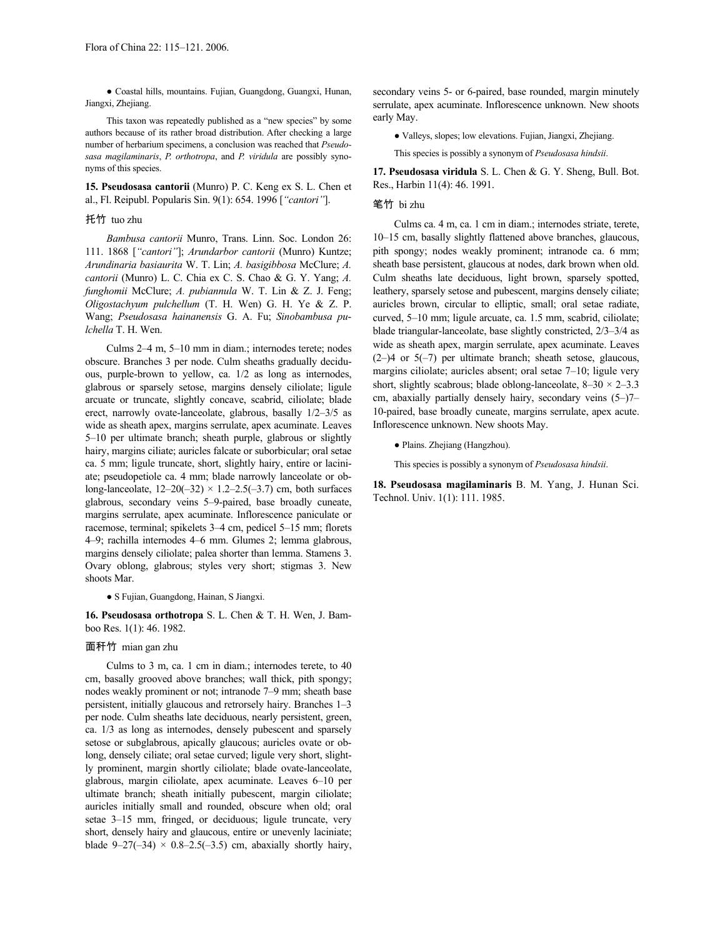● Coastal hills, mountains. Fujian, Guangdong, Guangxi, Hunan, Jiangxi, Zhejiang.

This taxon was repeatedly published as a "new species" by some authors because of its rather broad distribution. After checking a large number of herbarium specimens, a conclusion was reached that *Pseudosasa magilaminaris*, *P. orthotropa*, and *P. viridula* are possibly synonyms of this species.

**15. Pseudosasa cantorii** (Munro) P. C. Keng ex S. L. Chen et al., Fl. Reipubl. Popularis Sin. 9(1): 654. 1996 [*"cantori"*].

#### 托竹 tuo zhu

*Bambusa cantorii* Munro, Trans. Linn. Soc. London 26: 111. 1868 [*"cantori"*]; *Arundarbor cantorii* (Munro) Kuntze; *Arundinaria basiaurita* W. T. Lin; *A. basigibbosa* McClure; *A. cantorii* (Munro) L. C. Chia ex C. S. Chao & G. Y. Yang; *A. funghomii* McClure; *A. pubiannula* W. T. Lin & Z. J. Feng; *Oligostachyum pulchellum* (T. H. Wen) G. H. Ye & Z. P. Wang; *Pseudosasa hainanensis* G. A. Fu; *Sinobambusa pulchella* T. H. Wen.

Culms 2–4 m, 5–10 mm in diam.; internodes terete; nodes obscure. Branches 3 per node. Culm sheaths gradually deciduous, purple-brown to yellow, ca. 1/2 as long as internodes, glabrous or sparsely setose, margins densely ciliolate; ligule arcuate or truncate, slightly concave, scabrid, ciliolate; blade erect, narrowly ovate-lanceolate, glabrous, basally 1/2–3/5 as wide as sheath apex, margins serrulate, apex acuminate. Leaves 5–10 per ultimate branch; sheath purple, glabrous or slightly hairy, margins ciliate; auricles falcate or suborbicular; oral setae ca. 5 mm; ligule truncate, short, slightly hairy, entire or laciniate; pseudopetiole ca. 4 mm; blade narrowly lanceolate or oblong-lanceolate,  $12-20(-32) \times 1.2-2.5(-3.7)$  cm, both surfaces glabrous, secondary veins 5–9-paired, base broadly cuneate, margins serrulate, apex acuminate. Inflorescence paniculate or racemose, terminal; spikelets 3–4 cm, pedicel 5–15 mm; florets 4–9; rachilla internodes 4–6 mm. Glumes 2; lemma glabrous, margins densely ciliolate; palea shorter than lemma. Stamens 3. Ovary oblong, glabrous; styles very short; stigmas 3. New shoots Mar.

● S Fujian, Guangdong, Hainan, S Jiangxi.

**16. Pseudosasa orthotropa** S. L. Chen & T. H. Wen, J. Bamboo Res. 1(1): 46. 1982.

#### 面秆竹 mian gan zhu

Culms to 3 m, ca. 1 cm in diam.; internodes terete, to 40 cm, basally grooved above branches; wall thick, pith spongy; nodes weakly prominent or not; intranode 7–9 mm; sheath base persistent, initially glaucous and retrorsely hairy. Branches 1–3 per node. Culm sheaths late deciduous, nearly persistent, green, ca. 1/3 as long as internodes, densely pubescent and sparsely setose or subglabrous, apically glaucous; auricles ovate or oblong, densely ciliate; oral setae curved; ligule very short, slightly prominent, margin shortly ciliolate; blade ovate-lanceolate, glabrous, margin ciliolate, apex acuminate. Leaves 6–10 per ultimate branch; sheath initially pubescent, margin ciliolate; auricles initially small and rounded, obscure when old; oral setae 3–15 mm, fringed, or deciduous; ligule truncate, very short, densely hairy and glaucous, entire or unevenly laciniate; blade  $9-27(-34) \times 0.8-2.5(-3.5)$  cm, abaxially shortly hairy,

secondary veins 5- or 6-paired, base rounded, margin minutely serrulate, apex acuminate. Inflorescence unknown. New shoots early May.

● Valleys, slopes; low elevations. Fujian, Jiangxi, Zhejiang.

This species is possibly a synonym of *Pseudosasa hindsii*.

**17. Pseudosasa viridula** S. L. Chen & G. Y. Sheng, Bull. Bot. Res., Harbin 11(4): 46. 1991.

#### 笔竹 bi zhu

Culms ca. 4 m, ca. 1 cm in diam.; internodes striate, terete, 10–15 cm, basally slightly flattened above branches, glaucous, pith spongy; nodes weakly prominent; intranode ca. 6 mm; sheath base persistent, glaucous at nodes, dark brown when old. Culm sheaths late deciduous, light brown, sparsely spotted, leathery, sparsely setose and pubescent, margins densely ciliate; auricles brown, circular to elliptic, small; oral setae radiate, curved, 5–10 mm; ligule arcuate, ca. 1.5 mm, scabrid, ciliolate; blade triangular-lanceolate, base slightly constricted, 2/3–3/4 as wide as sheath apex, margin serrulate, apex acuminate. Leaves (2–)4 or 5(–7) per ultimate branch; sheath setose, glaucous, margins ciliolate; auricles absent; oral setae 7–10; ligule very short, slightly scabrous; blade oblong-lanceolate,  $8-30 \times 2-3.3$ cm, abaxially partially densely hairy, secondary veins (5–)7– 10-paired, base broadly cuneate, margins serrulate, apex acute. Inflorescence unknown. New shoots May.

● Plains. Zhejiang (Hangzhou).

This species is possibly a synonym of *Pseudosasa hindsii*.

**18. Pseudosasa magilaminaris** B. M. Yang, J. Hunan Sci. Technol. Univ. 1(1): 111. 1985.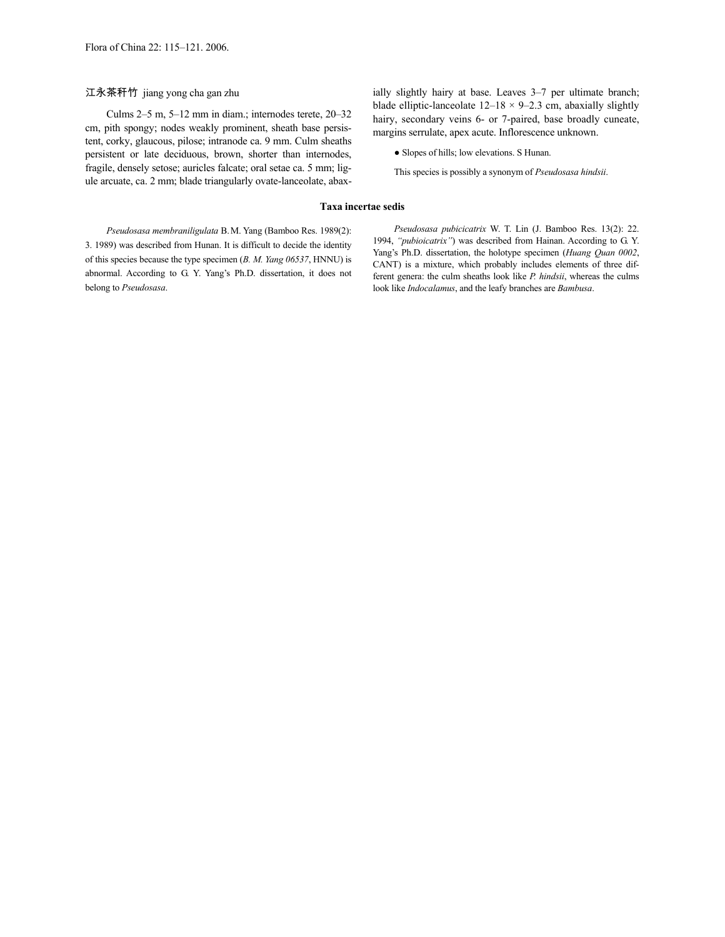江永茶秆竹 jiang yong cha gan zhu

Culms 2–5 m, 5–12 mm in diam.; internodes terete, 20–32 cm, pith spongy; nodes weakly prominent, sheath base persistent, corky, glaucous, pilose; intranode ca. 9 mm. Culm sheaths persistent or late deciduous, brown, shorter than internodes, fragile, densely setose; auricles falcate; oral setae ca. 5 mm; ligule arcuate, ca. 2 mm; blade triangularly ovate-lanceolate, abaxially slightly hairy at base. Leaves 3–7 per ultimate branch; blade elliptic-lanceolate  $12-18 \times 9-2.3$  cm, abaxially slightly hairy, secondary veins 6- or 7-paired, base broadly cuneate, margins serrulate, apex acute. Inflorescence unknown.

● Slopes of hills; low elevations. S Hunan.

This species is possibly a synonym of *Pseudosasa hindsii*.

#### **Taxa incertae sedis**

*Pseudosasa membraniligulata* B.M. Yang (Bamboo Res. 1989(2): 3. 1989) was described from Hunan. It is difficult to decide the identity of this species because the type specimen (*B. M. Yang 06537*, HNNU) is abnormal. According to G. Y. Yang's Ph.D. dissertation, it does not belong to *Pseudosasa*.

*Pseudosasa pubicicatrix* W. T. Lin (J. Bamboo Res. 13(2): 22. 1994, *"pubioicatrix"*) was described from Hainan. According to G. Y. Yang's Ph.D. dissertation, the holotype specimen (*Huang Quan 0002*, CANT) is a mixture, which probably includes elements of three different genera: the culm sheaths look like *P. hindsii*, whereas the culms look like *Indocalamus*, and the leafy branches are *Bambusa*.